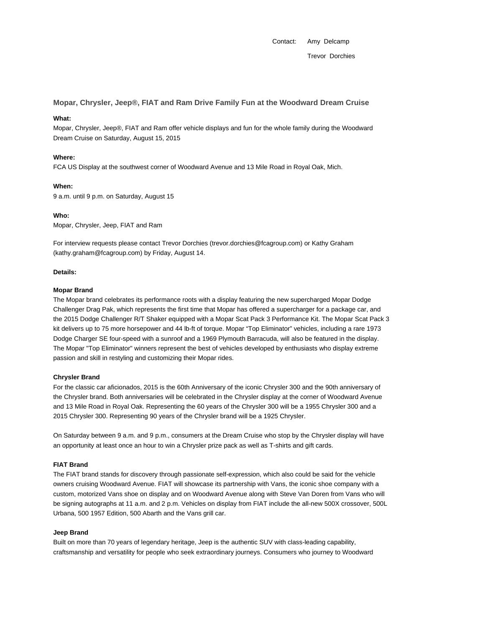Contact: Amy Delcamp Trevor Dorchies

**Mopar, Chrysler, Jeep®, FIAT and Ram Drive Family Fun at the Woodward Dream Cruise**

### **What:**

Mopar, Chrysler, Jeep®, FIAT and Ram offer vehicle displays and fun for the whole family during the Woodward Dream Cruise on Saturday, August 15, 2015

## **Where:**

FCA US Display at the southwest corner of Woodward Avenue and 13 Mile Road in Royal Oak, Mich.

### **When:**

9 a.m. until 9 p.m. on Saturday, August 15

## **Who:**

Mopar, Chrysler, Jeep, FIAT and Ram

For interview requests please contact Trevor Dorchies (trevor.dorchies@fcagroup.com) or Kathy Graham (kathy.graham@fcagroup.com) by Friday, August 14.

## **Details:**

### **Mopar Brand**

The Mopar brand celebrates its performance roots with a display featuring the new supercharged Mopar Dodge Challenger Drag Pak, which represents the first time that Mopar has offered a supercharger for a package car, and the 2015 Dodge Challenger R/T Shaker equipped with a Mopar Scat Pack 3 Performance Kit. The Mopar Scat Pack 3 kit delivers up to 75 more horsepower and 44 lb-ft of torque. Mopar "Top Eliminator" vehicles, including a rare 1973 Dodge Charger SE four-speed with a sunroof and a 1969 Plymouth Barracuda, will also be featured in the display. The Mopar "Top Eliminator" winners represent the best of vehicles developed by enthusiasts who display extreme passion and skill in restyling and customizing their Mopar rides.

# **Chrysler Brand**

For the classic car aficionados, 2015 is the 60th Anniversary of the iconic Chrysler 300 and the 90th anniversary of the Chrysler brand. Both anniversaries will be celebrated in the Chrysler display at the corner of Woodward Avenue and 13 Mile Road in Royal Oak. Representing the 60 years of the Chrysler 300 will be a 1955 Chrysler 300 and a 2015 Chrysler 300. Representing 90 years of the Chrysler brand will be a 1925 Chrysler.

On Saturday between 9 a.m. and 9 p.m., consumers at the Dream Cruise who stop by the Chrysler display will have an opportunity at least once an hour to win a Chrysler prize pack as well as T-shirts and gift cards.

### **FIAT Brand**

The FIAT brand stands for discovery through passionate self-expression, which also could be said for the vehicle owners cruising Woodward Avenue. FIAT will showcase its partnership with Vans, the iconic shoe company with a custom, motorized Vans shoe on display and on Woodward Avenue along with Steve Van Doren from Vans who will be signing autographs at 11 a.m. and 2 p.m. Vehicles on display from FIAT include the all-new 500X crossover, 500L Urbana, 500 1957 Edition, 500 Abarth and the Vans grill car.

### **Jeep Brand**

Built on more than 70 years of legendary heritage, Jeep is the authentic SUV with class-leading capability, craftsmanship and versatility for people who seek extraordinary journeys. Consumers who journey to Woodward